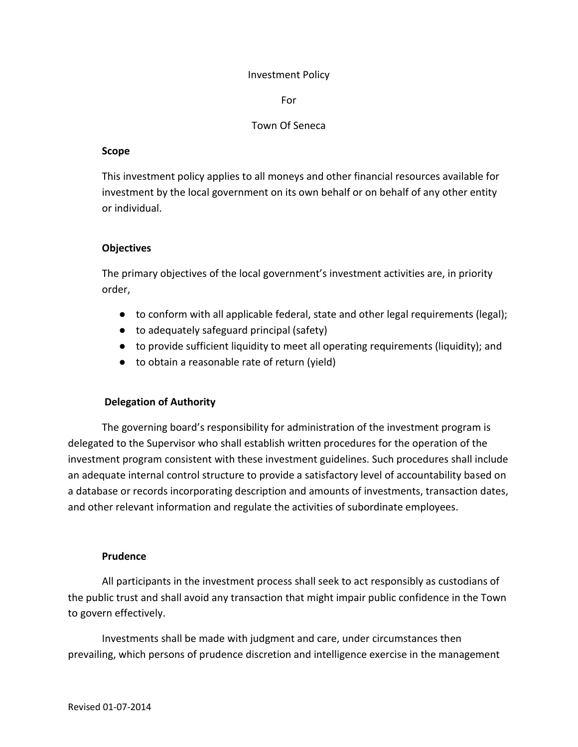### Investment Policy

For

## Town Of Seneca

### **Scope**

This investment policy applies to all moneys and other financial resources available for investment by the local government on its own behalf or on behalf of any other entity or individual.

## **Objectives**

The primary objectives of the local government's investment activities are, in priority order,

- to conform with all applicable federal, state and other legal requirements (legal);
- to adequately safeguard principal (safety)
- to provide sufficient liquidity to meet all operating requirements (liquidity); and
- to obtain a reasonable rate of return (yield)

## **Delegation of Authority**

The governing board's responsibility for administration of the investment program is delegated to the Supervisor who shall establish written procedures for the operation of the investment program consistent with these investment guidelines. Such procedures shall include an adequate internal control structure to provide a satisfactory level of accountability based on a database or records incorporating description and amounts of investments, transaction dates, and other relevant information and regulate the activities of subordinate employees.

#### **Prudence**

All participants in the investment process shall seek to act responsibly as custodians of the public trust and shall avoid any transaction that might impair public confidence in the Town to govern effectively.

Investments shall be made with judgment and care, under circumstances then prevailing, which persons of prudence discretion and intelligence exercise in the management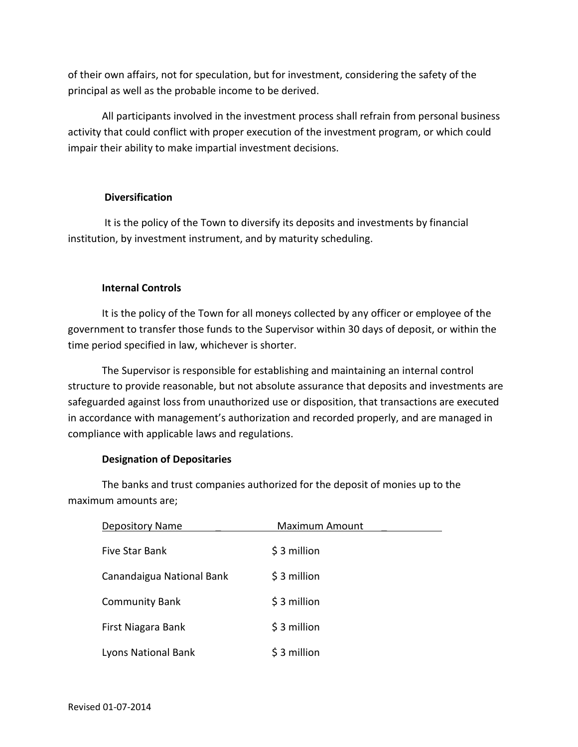of their own affairs, not for speculation, but for investment, considering the safety of the principal as well as the probable income to be derived.

All participants involved in the investment process shall refrain from personal business activity that could conflict with proper execution of the investment program, or which could impair their ability to make impartial investment decisions.

# **Diversification**

It is the policy of the Town to diversify its deposits and investments by financial institution, by investment instrument, and by maturity scheduling.

# **Internal Controls**

It is the policy of the Town for all moneys collected by any officer or employee of the government to transfer those funds to the Supervisor within 30 days of deposit, or within the time period specified in law, whichever is shorter.

The Supervisor is responsible for establishing and maintaining an internal control structure to provide reasonable, but not absolute assurance that deposits and investments are safeguarded against loss from unauthorized use or disposition, that transactions are executed in accordance with management's authorization and recorded properly, and are managed in compliance with applicable laws and regulations.

# **Designation of Depositaries**

The banks and trust companies authorized for the deposit of monies up to the maximum amounts are;

| <b>Depository Name</b>    | Maximum Amount |  |
|---------------------------|----------------|--|
| Five Star Bank            | \$ 3 million   |  |
| Canandaigua National Bank | \$ 3 million   |  |
| <b>Community Bank</b>     | \$3 million    |  |
| First Niagara Bank        | \$ 3 million   |  |
| Lyons National Bank       | S 3 million    |  |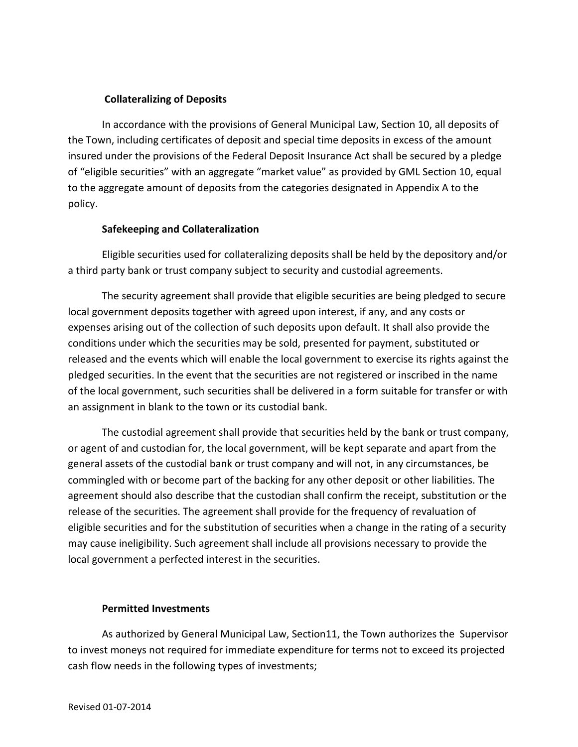# **Collateralizing of Deposits**

In accordance with the provisions of General Municipal Law, Section 10, all deposits of the Town, including certificates of deposit and special time deposits in excess of the amount insured under the provisions of the Federal Deposit Insurance Act shall be secured by a pledge of "eligible securities" with an aggregate "market value" as provided by GML Section 10, equal to the aggregate amount of deposits from the categories designated in Appendix A to the policy.

# **Safekeeping and Collateralization**

Eligible securities used for collateralizing deposits shall be held by the depository and/or a third party bank or trust company subject to security and custodial agreements.

The security agreement shall provide that eligible securities are being pledged to secure local government deposits together with agreed upon interest, if any, and any costs or expenses arising out of the collection of such deposits upon default. It shall also provide the conditions under which the securities may be sold, presented for payment, substituted or released and the events which will enable the local government to exercise its rights against the pledged securities. In the event that the securities are not registered or inscribed in the name of the local government, such securities shall be delivered in a form suitable for transfer or with an assignment in blank to the town or its custodial bank.

The custodial agreement shall provide that securities held by the bank or trust company, or agent of and custodian for, the local government, will be kept separate and apart from the general assets of the custodial bank or trust company and will not, in any circumstances, be commingled with or become part of the backing for any other deposit or other liabilities. The agreement should also describe that the custodian shall confirm the receipt, substitution or the release of the securities. The agreement shall provide for the frequency of revaluation of eligible securities and for the substitution of securities when a change in the rating of a security may cause ineligibility. Such agreement shall include all provisions necessary to provide the local government a perfected interest in the securities.

## **Permitted Investments**

As authorized by General Municipal Law, Section11, the Town authorizes the Supervisor to invest moneys not required for immediate expenditure for terms not to exceed its projected cash flow needs in the following types of investments;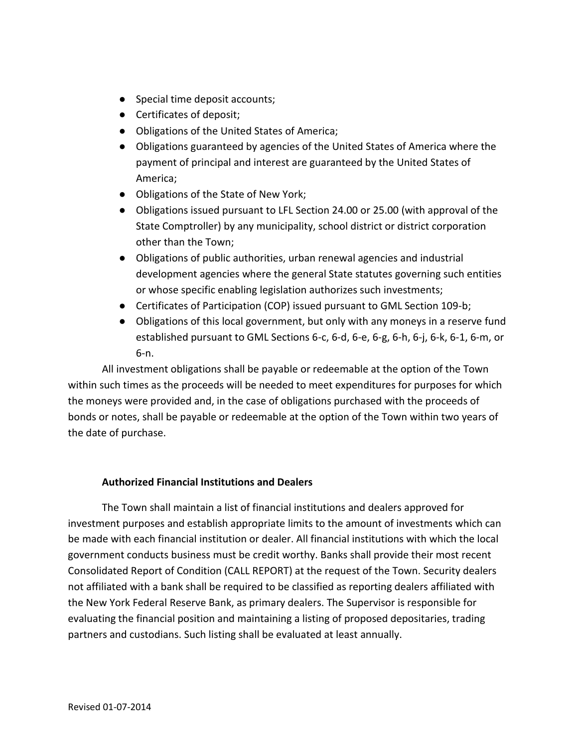- Special time deposit accounts;
- Certificates of deposit;
- Obligations of the United States of America;
- Obligations guaranteed by agencies of the United States of America where the payment of principal and interest are guaranteed by the United States of America;
- Obligations of the State of New York;
- Obligations issued pursuant to LFL Section 24.00 or 25.00 (with approval of the State Comptroller) by any municipality, school district or district corporation other than the Town;
- Obligations of public authorities, urban renewal agencies and industrial development agencies where the general State statutes governing such entities or whose specific enabling legislation authorizes such investments;
- Certificates of Participation (COP) issued pursuant to GML Section 109-b;
- Obligations of this local government, but only with any moneys in a reserve fund established pursuant to GML Sections 6-c, 6-d, 6-e, 6-g, 6-h, 6-j, 6-k, 6-1, 6-m, or 6-n.

All investment obligations shall be payable or redeemable at the option of the Town within such times as the proceeds will be needed to meet expenditures for purposes for which the moneys were provided and, in the case of obligations purchased with the proceeds of bonds or notes, shall be payable or redeemable at the option of the Town within two years of the date of purchase.

# **Authorized Financial Institutions and Dealers**

The Town shall maintain a list of financial institutions and dealers approved for investment purposes and establish appropriate limits to the amount of investments which can be made with each financial institution or dealer. All financial institutions with which the local government conducts business must be credit worthy. Banks shall provide their most recent Consolidated Report of Condition (CALL REPORT) at the request of the Town. Security dealers not affiliated with a bank shall be required to be classified as reporting dealers affiliated with the New York Federal Reserve Bank, as primary dealers. The Supervisor is responsible for evaluating the financial position and maintaining a listing of proposed depositaries, trading partners and custodians. Such listing shall be evaluated at least annually.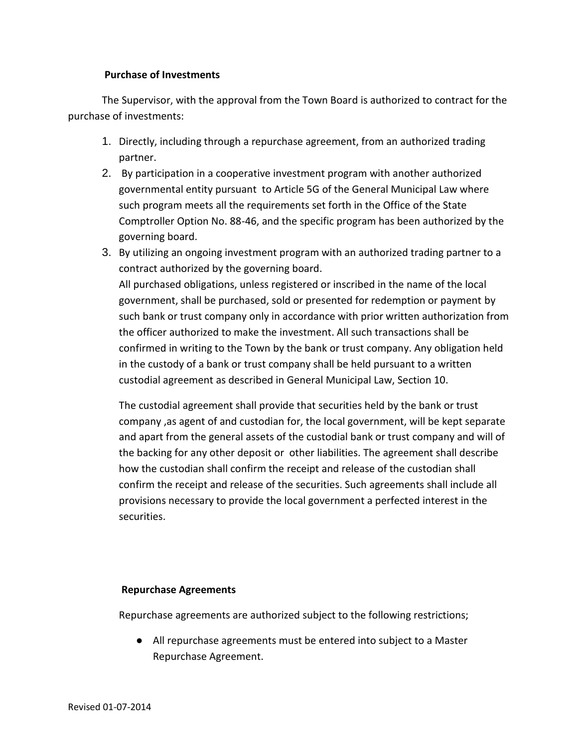## **Purchase of Investments**

The Supervisor, with the approval from the Town Board is authorized to contract for the purchase of investments:

- 1. Directly, including through a repurchase agreement, from an authorized trading partner.
- 2. By participation in a cooperative investment program with another authorized governmental entity pursuant to Article 5G of the General Municipal Law where such program meets all the requirements set forth in the Office of the State Comptroller Option No. 88-46, and the specific program has been authorized by the governing board.
- 3. By utilizing an ongoing investment program with an authorized trading partner to a contract authorized by the governing board. All purchased obligations, unless registered or inscribed in the name of the local government, shall be purchased, sold or presented for redemption or payment by such bank or trust company only in accordance with prior written authorization from the officer authorized to make the investment. All such transactions shall be confirmed in writing to the Town by the bank or trust company. Any obligation held in the custody of a bank or trust company shall be held pursuant to a written custodial agreement as described in General Municipal Law, Section 10.

The custodial agreement shall provide that securities held by the bank or trust company ,as agent of and custodian for, the local government, will be kept separate and apart from the general assets of the custodial bank or trust company and will of the backing for any other deposit or other liabilities. The agreement shall describe how the custodian shall confirm the receipt and release of the custodian shall confirm the receipt and release of the securities. Such agreements shall include all provisions necessary to provide the local government a perfected interest in the securities.

## **Repurchase Agreements**

Repurchase agreements are authorized subject to the following restrictions;

● All repurchase agreements must be entered into subject to a Master Repurchase Agreement.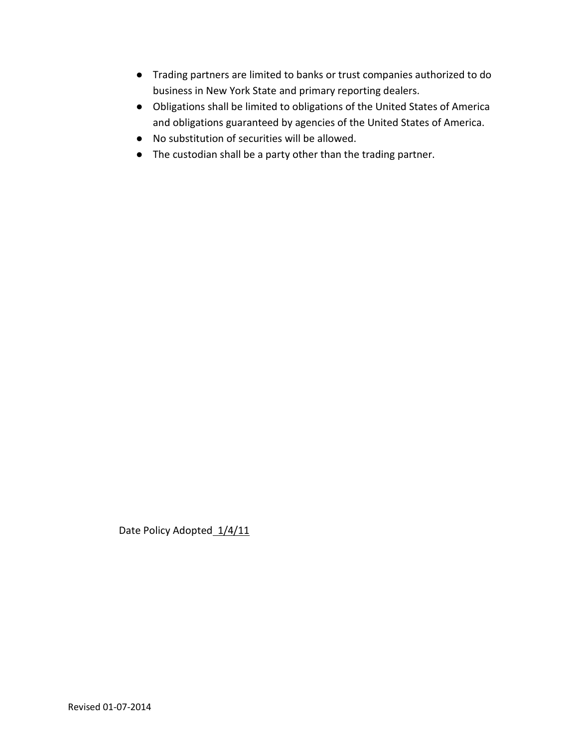- Trading partners are limited to banks or trust companies authorized to do business in New York State and primary reporting dealers.
- Obligations shall be limited to obligations of the United States of America and obligations guaranteed by agencies of the United States of America.
- No substitution of securities will be allowed.
- The custodian shall be a party other than the trading partner.

Date Policy Adopted 1/4/11